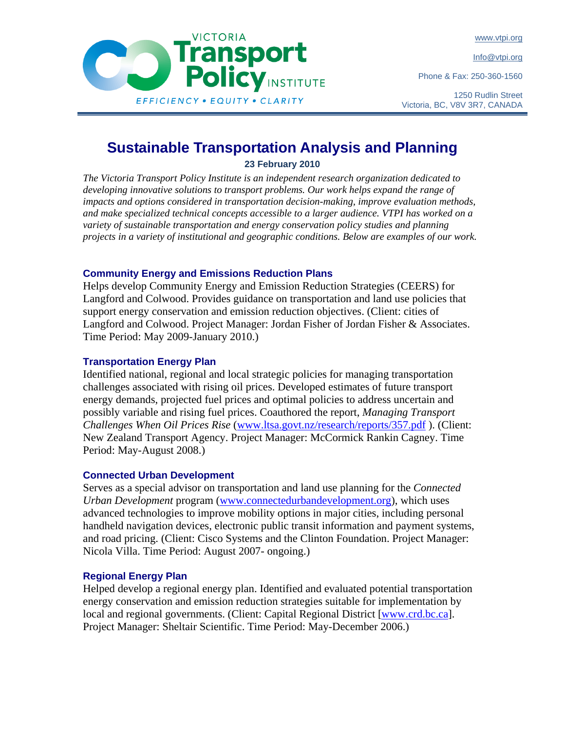www.vtpi.org

Info@vtpi.org

Phone & Fax: 250-360-1560

1250 Rudlin Street Victoria, BC, V8V 3R7, CANADA

# **Sustainable Transportation Analysis and Planning**

**23 February 2010** 

*The Victoria Transport Policy Institute is an independent research organization dedicated to*  developing innovative solutions to transport problems. Our work helps expand the range of *impacts and options considered in transportation decision-making, improve evaluation methods, and make specialized technical concepts accessible to a larger audience. VTPI has worked on a variety of sustainable transportation and energy conservation policy studies and planning projects in a variety of institutional and geographic conditions. Below are examples of our work.* 

# **Community Energy and Emissions Reduction Plans**

Helps develop Community Energy and Emission Reduction Strategies (CEERS) for Langford and Colwood. Provides guidance on transportation and land use policies that support energy conservation and emission reduction objectives. (Client: cities of Langford and Colwood. Project Manager: Jordan Fisher of Jordan Fisher & Associates. Time Period: May 2009-January 2010.)

# **Transportation Energy Plan**

Identified national, regional and local strategic policies for managing transportation challenges associated with rising oil prices. Developed estimates of future transport energy demands, projected fuel prices and optimal policies to address uncertain and possibly variable and rising fuel prices. Coauthored the report, *Managing Transport Challenges When Oil Prices Rise* (www.ltsa.govt.nz/research/reports/357.pdf ). (Client: New Zealand Transport Agency. Project Manager: McCormick Rankin Cagney. Time Period: May-August 2008.)

# **Connected Urban Development**

Serves as a special advisor on transportation and land use planning for the *Connected Urban Development* program (www.connectedurbandevelopment.org), which uses advanced technologies to improve mobility options in major cities, including personal handheld navigation devices, electronic public transit information and payment systems, and road pricing. (Client: Cisco Systems and the Clinton Foundation. Project Manager: Nicola Villa. Time Period: August 2007- ongoing.)

# **Regional Energy Plan**

Helped develop a regional energy plan. Identified and evaluated potential transportation energy conservation and emission reduction strategies suitable for implementation by local and regional governments. (Client: Capital Regional District [www.crd.bc.ca]. Project Manager: Sheltair Scientific. Time Period: May-December 2006.)

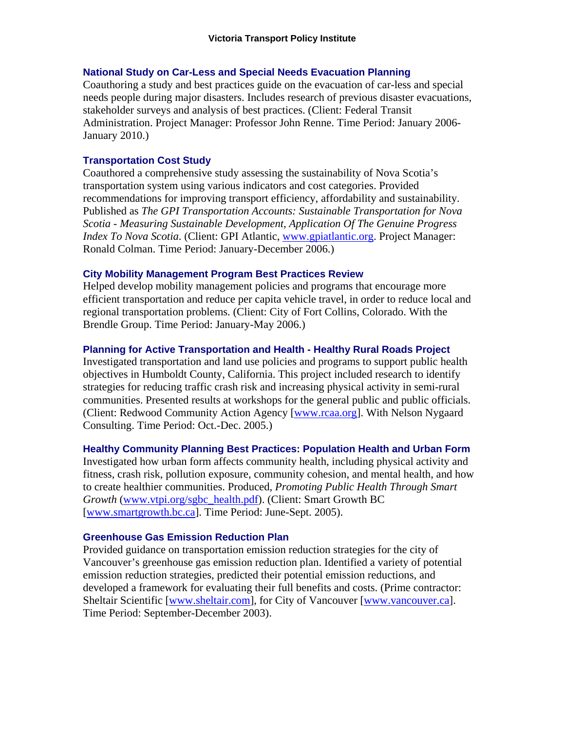#### **National Study on Car-Less and Special Needs Evacuation Planning**

Coauthoring a study and best practices guide on the evacuation of car-less and special needs people during major disasters. Includes research of previous disaster evacuations, stakeholder surveys and analysis of best practices. (Client: Federal Transit Administration. Project Manager: Professor John Renne. Time Period: January 2006- January 2010.)

# **Transportation Cost Study**

Coauthored a comprehensive study assessing the sustainability of Nova Scotia's transportation system using various indicators and cost categories. Provided recommendations for improving transport efficiency, affordability and sustainability. Published as *The GPI Transportation Accounts: Sustainable Transportation for Nova Scotia - Measuring Sustainable Development, Application Of The Genuine Progress Index To Nova Scotia*. (Client: GPI Atlantic, www.gpiatlantic.org. Project Manager: Ronald Colman. Time Period: January-December 2006.)

### **City Mobility Management Program Best Practices Review**

Helped develop mobility management policies and programs that encourage more efficient transportation and reduce per capita vehicle travel, in order to reduce local and regional transportation problems. (Client: City of Fort Collins, Colorado. With the Brendle Group. Time Period: January-May 2006.)

#### **Planning for Active Transportation and Health - Healthy Rural Roads Project**

Investigated transportation and land use policies and programs to support public health objectives in Humboldt County, California. This project included research to identify strategies for reducing traffic crash risk and increasing physical activity in semi-rural communities. Presented results at workshops for the general public and public officials. (Client: Redwood Community Action Agency [www.rcaa.org]. With Nelson Nygaard Consulting. Time Period: Oct.-Dec. 2005.)

#### **Healthy Community Planning Best Practices: Population Health and Urban Form**

Investigated how urban form affects community health, including physical activity and fitness, crash risk, pollution exposure, community cohesion, and mental health, and how to create healthier communities. Produced, *Promoting Public Health Through Smart Growth* (www.vtpi.org/sgbc\_health.pdf). (Client: Smart Growth BC [www.smartgrowth.bc.ca]. Time Period: June-Sept. 2005).

#### **Greenhouse Gas Emission Reduction Plan**

Provided guidance on transportation emission reduction strategies for the city of Vancouver's greenhouse gas emission reduction plan. Identified a variety of potential emission reduction strategies, predicted their potential emission reductions, and developed a framework for evaluating their full benefits and costs. (Prime contractor: Sheltair Scientific [www.sheltair.com], for City of Vancouver [www.vancouver.ca]. Time Period: September-December 2003).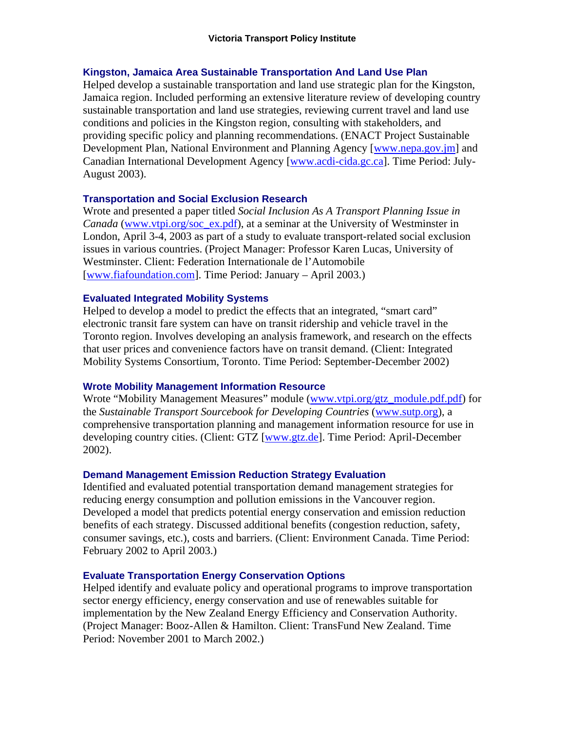#### **Kingston, Jamaica Area Sustainable Transportation And Land Use Plan**

Helped develop a sustainable transportation and land use strategic plan for the Kingston, Jamaica region. Included performing an extensive literature review of developing country sustainable transportation and land use strategies, reviewing current travel and land use conditions and policies in the Kingston region, consulting with stakeholders, and providing specific policy and planning recommendations. (ENACT Project Sustainable Development Plan, National Environment and Planning Agency [www.nepa.gov.jm] and Canadian International Development Agency [www.acdi-cida.gc.ca]. Time Period: July-August 2003).

# **Transportation and Social Exclusion Research**

Wrote and presented a paper titled *Social Inclusion As A Transport Planning Issue in Canada* (www.vtpi.org/soc\_ex.pdf), at a seminar at the University of Westminster in London, April 3-4, 2003 as part of a study to evaluate transport-related social exclusion issues in various countries. (Project Manager: Professor Karen Lucas, University of Westminster. Client: Federation Internationale de l'Automobile [www.fiafoundation.com]. Time Period: January – April 2003.)

#### **Evaluated Integrated Mobility Systems**

Helped to develop a model to predict the effects that an integrated, "smart card" electronic transit fare system can have on transit ridership and vehicle travel in the Toronto region. Involves developing an analysis framework, and research on the effects that user prices and convenience factors have on transit demand. (Client: Integrated Mobility Systems Consortium, Toronto. Time Period: September-December 2002)

#### **Wrote Mobility Management Information Resource**

Wrote "Mobility Management Measures" module (www.vtpi.org/gtz\_module.pdf.pdf) for the *Sustainable Transport Sourcebook for Developing Countries* (www.sutp.org), a comprehensive transportation planning and management information resource for use in developing country cities. (Client: GTZ [www.gtz.de]. Time Period: April-December 2002).

# **Demand Management Emission Reduction Strategy Evaluation**

Identified and evaluated potential transportation demand management strategies for reducing energy consumption and pollution emissions in the Vancouver region. Developed a model that predicts potential energy conservation and emission reduction benefits of each strategy. Discussed additional benefits (congestion reduction, safety, consumer savings, etc.), costs and barriers. (Client: Environment Canada. Time Period: February 2002 to April 2003.)

# **Evaluate Transportation Energy Conservation Options**

Helped identify and evaluate policy and operational programs to improve transportation sector energy efficiency, energy conservation and use of renewables suitable for implementation by the New Zealand Energy Efficiency and Conservation Authority. (Project Manager: Booz-Allen & Hamilton. Client: TransFund New Zealand. Time Period: November 2001 to March 2002.)